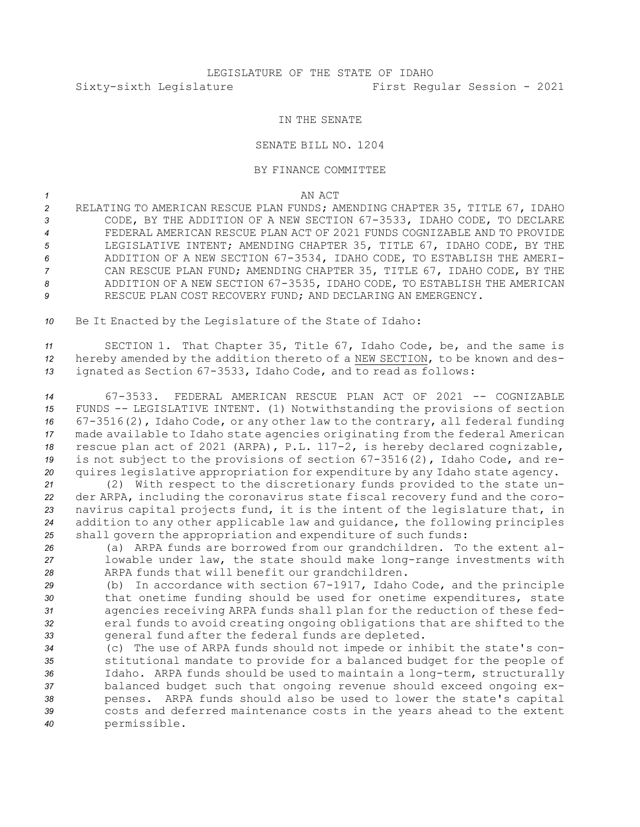## IN THE SENATE

## SENATE BILL NO. 1204

## BY FINANCE COMMITTEE

*1* AN ACT

 RELATING TO AMERICAN RESCUE PLAN FUNDS; AMENDING CHAPTER 35, TITLE 67, IDAHO CODE, BY THE ADDITION OF A NEW SECTION 67-3533, IDAHO CODE, TO DECLARE FEDERAL AMERICAN RESCUE PLAN ACT OF 2021 FUNDS COGNIZABLE AND TO PROVIDE LEGISLATIVE INTENT; AMENDING CHAPTER 35, TITLE 67, IDAHO CODE, BY THE ADDITION OF A NEW SECTION 67-3534, IDAHO CODE, TO ESTABLISH THE AMERI- CAN RESCUE PLAN FUND; AMENDING CHAPTER 35, TITLE 67, IDAHO CODE, BY THE ADDITION OF A NEW SECTION 67-3535, IDAHO CODE, TO ESTABLISH THE AMERICAN RESCUE PLAN COST RECOVERY FUND; AND DECLARING AN EMERGENCY.

*<sup>10</sup>* Be It Enacted by the Legislature of the State of Idaho:

*<sup>11</sup>* SECTION 1. That Chapter 35, Title 67, Idaho Code, be, and the same is *<sup>12</sup>* hereby amended by the addition thereto of <sup>a</sup> NEW SECTION, to be known and des-*<sup>13</sup>* ignated as Section 67-3533, Idaho Code, and to read as follows:

 67-3533. FEDERAL AMERICAN RESCUE PLAN ACT OF 2021 -- COGNIZABLE FUNDS -- LEGISLATIVE INTENT. (1) Notwithstanding the provisions of section 67-3516(2), Idaho Code, or any other law to the contrary, all federal funding made available to Idaho state agencies originating from the federal American rescue plan act of 2021 (ARPA), P.L. 117-2, is hereby declared cognizable, is not subject to the provisions of section 67-3516(2), Idaho Code, and re-quires legislative appropriation for expenditure by any Idaho state agency.

 (2) With respect to the discretionary funds provided to the state un- der ARPA, including the coronavirus state fiscal recovery fund and the coro- navirus capital projects fund, it is the intent of the legislature that, in addition to any other applicable law and guidance, the following principles shall govern the appropriation and expenditure of such funds:

*<sup>26</sup>* (a) ARPA funds are borrowed from our grandchildren. To the extent al-*<sup>27</sup>* lowable under law, the state should make long-range investments with *<sup>28</sup>* ARPA funds that will benefit our grandchildren.

 (b) In accordance with section 67-1917, Idaho Code, and the principle that onetime funding should be used for onetime expenditures, state agencies receiving ARPA funds shall plan for the reduction of these fed- eral funds to avoid creating ongoing obligations that are shifted to the general fund after the federal funds are depleted.

 (c) The use of ARPA funds should not impede or inhibit the state's con- stitutional mandate to provide for <sup>a</sup> balanced budget for the people of Idaho. ARPA funds should be used to maintain <sup>a</sup> long-term, structurally balanced budget such that ongoing revenue should exceed ongoing ex- penses. ARPA funds should also be used to lower the state's capital costs and deferred maintenance costs in the years ahead to the extent permissible.